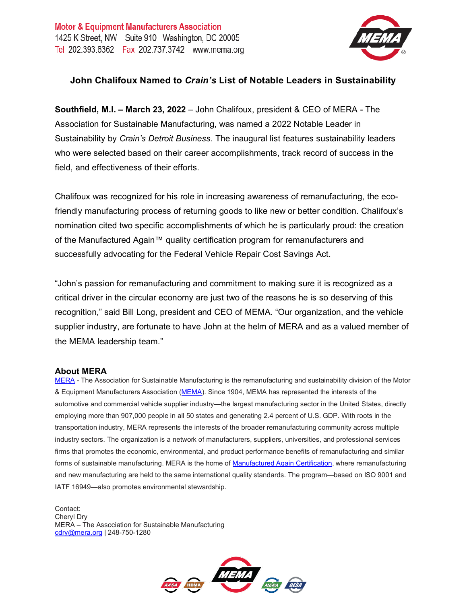

## **John Chalifoux Named to** *Crain's* **List of Notable Leaders in Sustainability**

**Southfield, M.I. – March 23, 2022** – John Chalifoux, president & CEO of MERA - The Association for Sustainable Manufacturing, was named a 2022 Notable Leader in Sustainability by *Crain's Detroit Business*. The inaugural list features sustainability leaders who were selected based on their career accomplishments, track record of success in the field, and effectiveness of their efforts.

Chalifoux was recognized for his role in increasing awareness of remanufacturing, the ecofriendly manufacturing process of returning goods to like new or better condition. Chalifoux's nomination cited two specific accomplishments of which he is particularly proud: the creation of the Manufactured Again™ quality certification program for remanufacturers and successfully advocating for the Federal Vehicle Repair Cost Savings Act.

"John's passion for remanufacturing and commitment to making sure it is recognized as a critical driver in the circular economy are just two of the reasons he is so deserving of this recognition," said Bill Long, president and CEO of MEMA. "Our organization, and the vehicle supplier industry, are fortunate to have John at the helm of MERA and as a valued member of the MEMA leadership team."

## **About MERA**

[MERA](http://www.mema.org/) - The Association for Sustainable Manufacturing is the remanufacturing and sustainability division of the Motor & Equipment Manufacturers Association [\(MEMA\)](http://www.mema.org/). Since 1904, MEMA has represented the interests of the automotive and commercial vehicle supplier industry—the largest manufacturing sector in the United States, directly employing more than 907,000 people in all 50 states and generating 2.4 percent of U.S. GDP. With roots in the transportation industry, MERA represents the interests of the broader remanufacturing community across multiple industry sectors. The organization is a network of manufacturers, suppliers, universities, and professional services firms that promotes the economic, environmental, and product performance benefits of remanufacturing and similar forms of sustainable manufacturing. MERA is the home of [Manufactured Again Certification,](https://www.manufacturedagain.com/) where remanufacturing and new manufacturing are held to the same international quality standards. The program—based on ISO 9001 and IATF 16949—also promotes environmental stewardship.

Contact: Cheryl Dry MERA – The Association for Sustainable Manufacturing [cdry@mera.org](mailto:cdry@mera.org) | 248-750-1280